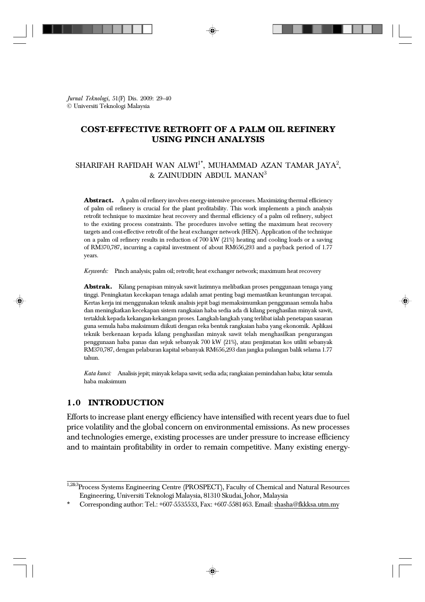*Jurnal Teknologi*, 51(F) Dis. 2009: 29–40 © Universiti Teknologi Malaysia

# **COST-EFFECTIVE RETROFIT OF A PALM OIL REFINERY USING PINCH ANALYSIS**

# SHARIFAH RAFIDAH WAN ALWI $^{\rm l}$ \*, MUHAMMAD AZAN TAMAR JAYA $^{\rm 2}$ , & ZAINUDDIN ABDUL MANA $N^3$

Abstract. A palm oil refinery involves energy-intensive processes. Maximizing thermal efficiency of palm oil refinery is crucial for the plant profitability. This work implements a pinch analysis retrofit technique to maximize heat recovery and thermal efficiency of a palm oil refinery, subject to the existing process constraints. The procedures involve setting the maximum heat recovery targets and cost-effective retrofit of the heat exchanger network (HEN). Application of the technique on a palm oil refinery results in reduction of 700 kW (21%) heating and cooling loads or a saving of RM370,787, incurring a capital investment of about RM656,293 and a payback period of 1.77 years.

*Keywords:* Pinch analysis; palm oil; retrofit; heat exchanger network; maximum heat recovery

**Abstrak.** Kilang penapisan minyak sawit lazimnya melibatkan proses penggunaan tenaga yang tinggi. Peningkatan kecekapan tenaga adalah amat penting bagi memastikan keuntungan tercapai. Kertas kerja ini menggunakan teknik analisis jepit bagi memaksimumkan penggunaan semula haba dan meningkatkan kecekapan sistem rangkaian haba sedia ada di kilang penghasilan minyak sawit, tertakluk kepada kekangan-kekangan proses. Langkah-langkah yang terlibat ialah penetapan sasaran guna semula haba maksimum diikuti dengan reka bentuk rangkaian haba yang ekonomik. Aplikasi teknik berkenaan kepada kilang penghasilan minyak sawit telah menghasilkan pengurangan penggunaan haba panas dan sejuk sebanyak 700 kW (21%), atau penjimatan kos utiliti sebanyak RM370,787, dengan pelaburan kapital sebanyak RM656,293 dan jangka pulangan balik selama 1.77 tahun.

*Kata kunci:* Analisis jepit; minyak kelapa sawit; sedia ada; rangkaian pemindahan haba; kitar semula haba maksimum

## **1.0 INTRODUCTION**

Efforts to increase plant energy efficiency have intensified with recent years due to fuel price volatility and the global concern on environmental emissions. As new processes and technologies emerge, existing processes are under pressure to increase efficiency and to maintain profitability in order to remain competitive. Many existing energy-

<sup>1,2&</sup>amp;3Process Systems Engineering Centre (PROSPECT), Faculty of Chemical and Natural Resources Engineering, Universiti Teknologi Malaysia, 81310 Skudai, Johor, Malaysia

<sup>\*</sup> Corresponding author: Tel.: +607-5535533, Fax: +607-5581463. Email: shasha@fkkksa.utm.my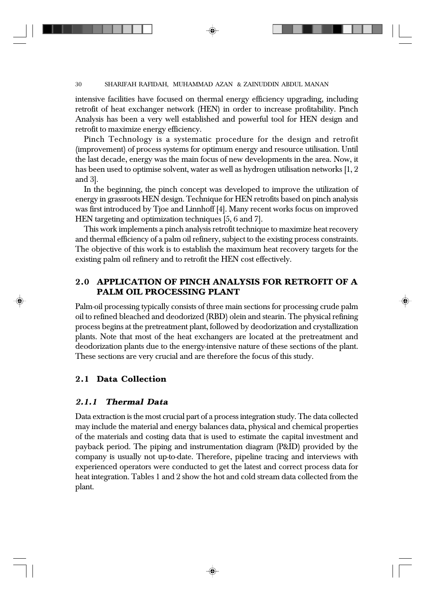intensive facilities have focused on thermal energy efficiency upgrading, including retrofit of heat exchanger network (HEN) in order to increase profitability. Pinch Analysis has been a very well established and powerful tool for HEN design and retrofit to maximize energy efficiency.

Pinch Technology is a systematic procedure for the design and retrofit (improvement) of process systems for optimum energy and resource utilisation. Until the last decade, energy was the main focus of new developments in the area. Now, it has been used to optimise solvent, water as well as hydrogen utilisation networks [1, 2 and 3].

In the beginning, the pinch concept was developed to improve the utilization of energy in grassroots HEN design. Technique for HEN retrofits based on pinch analysis was first introduced by Tjoe and Linnhoff [4]. Many recent works focus on improved HEN targeting and optimization techniques [5, 6 and 7].

This work implements a pinch analysis retrofit technique to maximize heat recovery and thermal efficiency of a palm oil refinery, subject to the existing process constraints. The objective of this work is to establish the maximum heat recovery targets for the existing palm oil refinery and to retrofit the HEN cost effectively.

## **2.0 APPLICATION OF PINCH ANALYSIS FOR RETROFIT OF A PALM OIL PROCESSING PLANT**

Palm-oil processing typically consists of three main sections for processing crude palm oil to refined bleached and deodorized (RBD) olein and stearin. The physical refining process begins at the pretreatment plant, followed by deodorization and crystallization plants. Note that most of the heat exchangers are located at the pretreatment and deodorization plants due to the energy-intensive nature of these sections of the plant. These sections are very crucial and are therefore the focus of this study.

## **2.1 Data Collection**

#### **2.1.1 Thermal Data**

Data extraction is the most crucial part of a process integration study. The data collected may include the material and energy balances data, physical and chemical properties of the materials and costing data that is used to estimate the capital investment and payback period. The piping and instrumentation diagram (P&ID) provided by the company is usually not up-to-date. Therefore, pipeline tracing and interviews with experienced operators were conducted to get the latest and correct process data for heat integration. Tables 1 and 2 show the hot and cold stream data collected from the plant.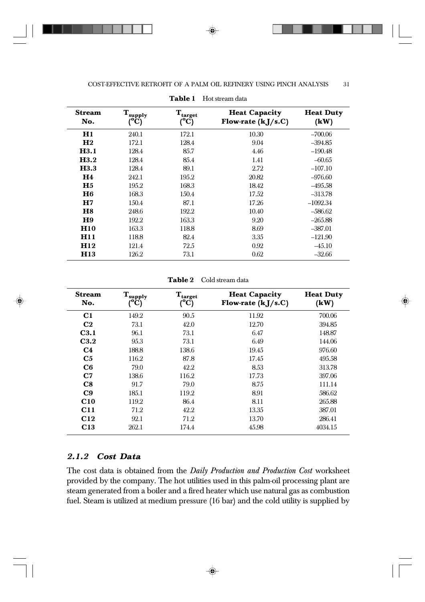| <b>Stream</b><br>No. | supply<br>°C) | $\mathbf{T}_{\text{target}}$<br>$^{\circ}$ C) | <b>Heat Capacity</b><br>Flow-rate $(kJ/s.C)$ | <b>Heat Duty</b><br>(kW) |
|----------------------|---------------|-----------------------------------------------|----------------------------------------------|--------------------------|
| H1                   | 240.1         | 172.1                                         | 10.30                                        | $-700.06$                |
| H <sub>2</sub>       | 172.1         | 128.4                                         | 9.04                                         | $-394.85$                |
| H3.1                 | 128.4         | 85.7                                          | 4.46                                         | $-190.48$                |
| H3.2                 | 128.4         | 85.4                                          | 1.41                                         | $-60.65$                 |
| H3.3                 | 128.4         | 89.1                                          | 2.72                                         | $-107.10$                |
| H4                   | 242.1         | 195.2                                         | 20.82                                        | $-976.60$                |
| H <sub>5</sub>       | 195.2         | 168.3                                         | 18.42                                        | $-495.58$                |
| H <sub>6</sub>       | 168.3         | 150.4                                         | 17.52                                        | $-313.78$                |
| H7                   | 150.4         | 87.1                                          | 17.26                                        | $-1092.34$               |
| <b>H8</b>            | 248.6         | 192.2                                         | 10.40                                        | $-586.62$                |
| <b>H9</b>            | 192.2         | 163.3                                         | 9.20                                         | $-265.88$                |
| H10                  | 163.3         | 118.8                                         | 8.69                                         | $-387.01$                |
| H11                  | 118.8         | 82.4                                          | 3.35                                         | $-121.90$                |
| H <sub>12</sub>      | 121.4         | 72.5                                          | 0.92                                         | $-45.10$                 |
| H <sub>13</sub>      | 126.2         | 73.1                                          | 0.62                                         | $-32.66$                 |

#### COST-EFFECTIVE RETROFIT OF A PALM OIL REFINERY USING PINCH ANALYSIS 31

**Table 1** Hot stream data

**Table 2** Cold stream data

| <b>Stream</b><br>No. | supply<br>$^{\circ}$ C) | $\mathbf{T}_{\text{target}}$<br>(°C) | <b>Heat Capacity</b><br>Flow-rate $(kJ/s.C)$ | <b>Heat Duty</b><br>(kW) |
|----------------------|-------------------------|--------------------------------------|----------------------------------------------|--------------------------|
| C <sub>1</sub>       | 149.2                   | 90.5                                 | 11.92                                        | 700.06                   |
| C <sub>2</sub>       | 73.1                    | 42.0                                 | 12.70                                        | 394.85                   |
| C3.1                 | 96.1                    | 73.1                                 | 6.47                                         | 148.87                   |
| C3.2                 | 95.3                    | 73.1                                 | 6.49                                         | 144.06                   |
| C <sub>4</sub>       | 188.8                   | 138.6                                | 19.45                                        | 976.60                   |
| C <sub>5</sub>       | 116.2                   | 87.8                                 | 17.45                                        | 495.58                   |
| C6                   | 79.0                    | 42.2                                 | 8.53                                         | 313.78                   |
| C <sub>7</sub>       | 138.6                   | 116.2                                | 17.73                                        | 397.06                   |
| C8                   | 91.7                    | 79.0                                 | 8.75                                         | 111.14                   |
| C9                   | 185.1                   | 119.2                                | 8.91                                         | 586.62                   |
| C10                  | 119.2                   | 86.4                                 | 8.11                                         | 265.88                   |
| C11                  | 71.2                    | 42.2                                 | 13.35                                        | 387.01                   |
| C12                  | 92.1                    | 71.2                                 | 13.70                                        | 286.41                   |
| C13                  | 262.1                   | 174.4                                | 45.98                                        | 4034.15                  |

## **2.1.2 Cost Data**

The cost data is obtained from the *Daily Production and Production Cost* worksheet provided by the company. The hot utilities used in this palm-oil processing plant are steam generated from a boiler and a fired heater which use natural gas as combustion fuel. Steam is utilized at medium pressure (16 bar) and the cold utility is supplied by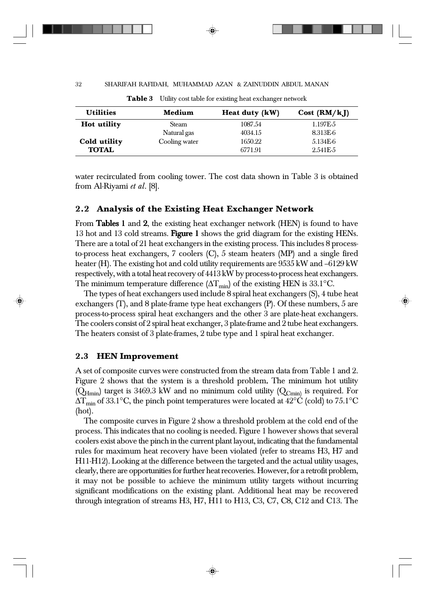| <b>Utilities</b> | Medium        | Heat duty (kW) | Cost (RM/kJ) |
|------------------|---------------|----------------|--------------|
| Hot utility      | <b>Steam</b>  | 1087.54        | 1.197E-5     |
|                  | Natural gas   | 4034.15        | 8.313E-6     |
| Cold utility     | Cooling water | 1650.22        | 5.134E-6     |
| <b>TOTAL</b>     |               | 6771.91        | 2.541E-5     |

**Table 3** Utility cost table for existing heat exchanger network

water recirculated from cooling tower. The cost data shown in Table 3 is obtained from Al-Riyami *et al*. [8].

#### **2.2 Analysis of the Existing Heat Exchanger Network**

From **Tables 1** and 2, the existing heat exchanger network (HEN) is found to have 13 hot and 13 cold streams. **Figure 1** shows the grid diagram for the existing HENs. There are a total of 21 heat exchangers in the existing process. This includes 8 processto-process heat exchangers, 7 coolers (C), 5 steam heaters (MP) and a single fired heater (H). The existing hot and cold utility requirements are 9535 kW and –6129 kW respectively, with a total heat recovery of 4413 kW by process-to-process heat exchangers. The minimum temperature difference  $(\Delta T_{min})$  of the existing HEN is 33.1°C.

The types of heat exchangers used include 8 spiral heat exchangers (S), 4 tube heat exchangers (T), and 8 plate-frame type heat exchangers (P). Of these numbers, 5 are process-to-process spiral heat exchangers and the other 3 are plate-heat exchangers. The coolers consist of 2 spiral heat exchanger, 3 plate-frame and 2 tube heat exchangers. The heaters consist of 3 plate-frames, 2 tube type and 1 spiral heat exchanger.

#### **2.3 HEN Improvement**

A set of composite curves were constructed from the stream data from Table 1 and 2. Figure 2 shows that the system is a threshold problem. The minimum hot utility  $(Q_{Hmin})$  target is 3469.3 kW and no minimum cold utility  $(Q_{Cmin})$  is required. For  $\Delta T_{\text{min}}$  of 33.1°C, the pinch point temperatures were located at 42°C (cold) to 75.1°C (hot).

The composite curves in Figure 2 show a threshold problem at the cold end of the process. This indicates that no cooling is needed. Figure 1 however shows that several coolers exist above the pinch in the current plant layout, indicating that the fundamental rules for maximum heat recovery have been violated (refer to streams H3, H7 and H11-H12). Looking at the difference between the targeted and the actual utility usages, clearly, there are opportunities for further heat recoveries. However, for a retrofit problem, it may not be possible to achieve the minimum utility targets without incurring significant modifications on the existing plant. Additional heat may be recovered through integration of streams H3, H7, H11 to H13, C3, C7, C8, C12 and C13. The

⊕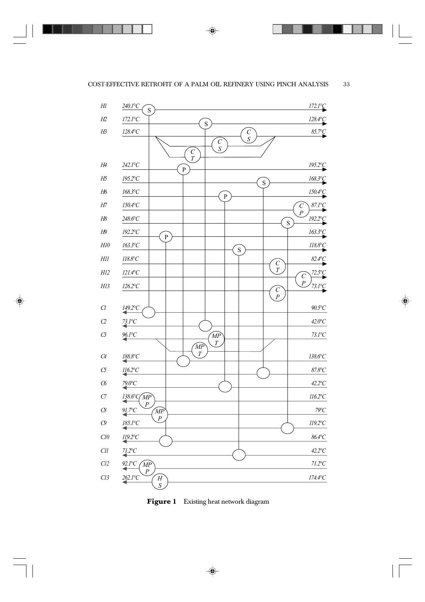

◈

COST-EFFECTIVE RETROFIT OF A PALM OIL REFINERY USING PINCH ANALYSIS 33

⊕

- 1

◈

**Figure 1** Existing heat network diagram

 $\bigoplus$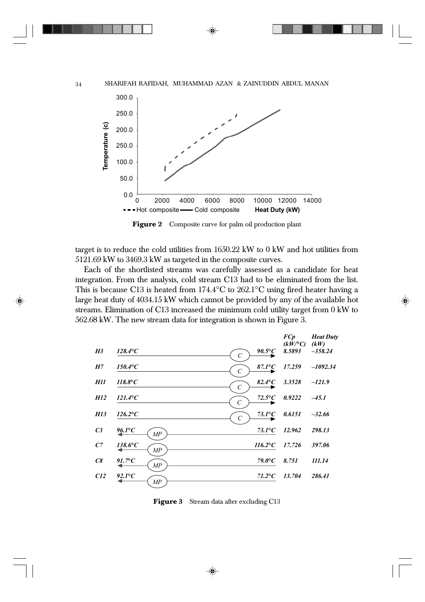

Figure 2 Composite curve for palm oil production plant

target is to reduce the cold utilities from 1650.22 kW to 0 kW and hot utilities from 5121.69 kW to 3469.3 kW as targeted in the composite curves.

Each of the shortlisted streams was carefully assessed as a candidate for heat integration. From the analysis, cold stream C13 had to be eliminated from the list. This is because C13 is heated from 174.4°C to 262.1°C using fired heater having a large heat duty of 4034.15 kW which cannot be provided by any of the available hot streams. Elimination of C13 increased the minimum cold utility target from 0 kW to 562.68 kW. The new stream data for integration is shown in Figure 3.

|                 |                                                |                  | <b>FCp</b><br>$(kW$ /°C) $(kW)$ | <b>Heat Duty</b> |
|-----------------|------------------------------------------------|------------------|---------------------------------|------------------|
| H <sub>3</sub>  | $128.4$ °C<br>$\overline{C}$                   | 90.5 $\circ$ C   | 8.5893                          | $-358.24$        |
| H7              | $150.4$ °C<br>$\mathcal{C}_{0}^{0}$            | 87.1 $^{\circ}C$ | 17.259                          | $-1092.34$       |
| <b>H11</b>      | $118.8$ °C<br>$\mathcal{C}_{0}^{0}$            | $82.4^{\circ}C$  | 3.3528                          | $-121.9$         |
| H <sub>12</sub> | $121.4$ °C<br>C                                | $72.5^{\circ}C$  | 0.9222                          | $-45.1$          |
| H13             | $126.2$ °C<br>$\cal C$                         | 73.1 $^{\circ}C$ | 0.6151                          | $-32.66$         |
| C <sub>3</sub>  | $96.1^{\circ}C$<br>MP                          | $73.1^{\circ}C$  | 12.962                          | 298.13           |
| C7              | $138.6$ °C<br>MP                               | $116.2$ °C       | 17.726                          | 397.06           |
| C8              | 91.7 $^{\circ}C$<br>$\ensuremath{\mathit{MP}}$ | 79.0 $^{\circ}C$ | 8.751                           | 111.14           |
| C12             | $92.1^{\circ}C$<br>MP                          | $71.2$ °C        | 13.704                          | 286.41           |

**Figure 3** Stream data after excluding C13

◈

34 SHARIFAH RAFIDAH, MUHAMMAD AZAN & ZAINUDDIN ABDUL MANAN SHARIFAH RAFIDAH, MUHAMMAD AZAN & ZAINUDDIN ABDUL MANAN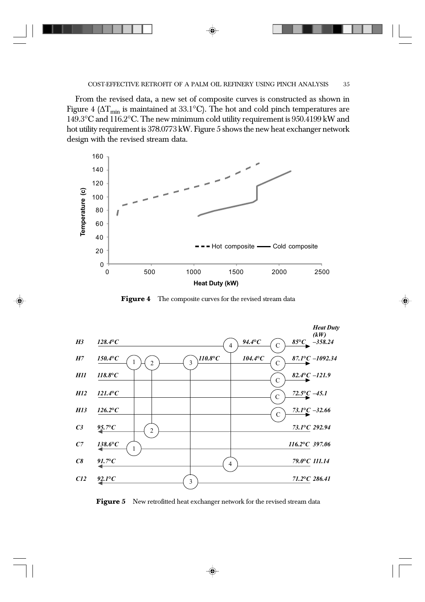#### COST-EFFECTIVE RETROFIT OF A PALM OIL REFINERY USING PINCH ANALYSIS 35

From the revised data, a new set of composite curves is constructed as shown in Figure 4 ( $\Delta T_{min}$  is maintained at 33.1°C). The hot and cold pinch temperatures are 149.3°C and 116.2°C. The new minimum cold utility requirement is 950.4199 kW and hot utility requirement is 378.0773 kW. Figure 5 shows the new heat exchanger network design with the revised stream data.



Figure 4 The composite curves for the revised stream data



Figure 5 New retrofitted heat exchanger network for the revised stream data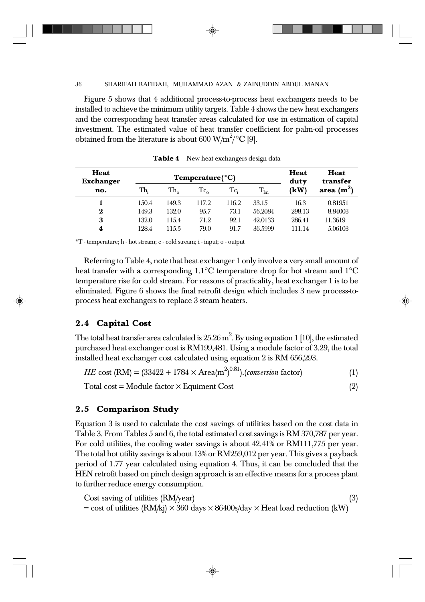Figure 5 shows that 4 additional process-to-process heat exchangers needs to be installed to achieve the minimum utility targets. Table 4 shows the new heat exchangers and the corresponding heat transfer areas calculated for use in estimation of capital investment. The estimated value of heat transfer coefficient for palm-oil processes obtained from the literature is about 600 W/m $^2\!/^{\circ}\mathrm{C}$  [9].

| Heat<br><b>Exchanger</b> | $Temperature(^{\circ}C)$ |                   |               |        |              | Heat<br>duty | Heat<br>transfer |
|--------------------------|--------------------------|-------------------|---------------|--------|--------------|--------------|------------------|
| no.                      | Th,                      | $\rm Th_{\alpha}$ | $Tc_{\alpha}$ | $Tc_i$ | $\rm T_{lm}$ | (kW)         | area $(m^2)$     |
|                          | 1.50.4                   | 149.3             | 117.2         | 116.2  | 33.15        | 16.3         | 0.81951          |
| $\bf{2}$                 | 149.3                    | 132.0             | 95.7          | 73.1   | 56.2084      | 298.13       | 8.84003          |
| 3                        | 132.0                    | 115.4             | 71.2          | 92.1   | 42.0133      | 286.41       | 11.3619          |
| $\boldsymbol{4}$         | 128.4                    | 115.5             | 79.0          | 91.7   | 36.5999      | 11   14      | 5.06103          |

\*T - temperature; h - hot stream; c - cold stream; i - input; o - output

Referring to Table 4, note that heat exchanger 1 only involve a very small amount of heat transfer with a corresponding 1.1°C temperature drop for hot stream and 1°C temperature rise for cold stream. For reasons of practicality, heat exchanger 1 is to be eliminated. Figure 6 shows the final retrofit design which includes 3 new process-toprocess heat exchangers to replace 3 steam heaters.

#### **2.4 Capital Cost**

The total heat transfer area calculated is 25.26  $\mathrm{m}^2$ . By using equation 1 [10], the estimated purchased heat exchanger cost is RM199,481. Using a module factor of 3.29, the total installed heat exchanger cost calculated using equation 2 is RM 656,293.

*HE* cost (RM) =  $(33422 + 1784 \times \text{Area(m}^2)^{0.81})$ . (*conversion* factor) (1)

Total cost = Module factor  $\times$  Equiment Cost (2)

## **2.5 Comparison Study**

Equation 3 is used to calculate the cost savings of utilities based on the cost data in Table 3. From Tables 5 and 6, the total estimated cost savings is RM 370,787 per year. For cold utilities, the cooling water savings is about 42.41% or RM111,775 per year. The total hot utility savings is about 13% or RM259,012 per year. This gives a payback period of 1.77 year calculated using equation 4. Thus, it can be concluded that the HEN retrofit based on pinch design approach is an effective means for a process plant to further reduce energy consumption.

Cost saving of utilities (RM/year) (3)  $=$  cost of utilities (RM/kj)  $\times$  360 days  $\times$  86400s/day  $\times$  Heat load reduction (kW)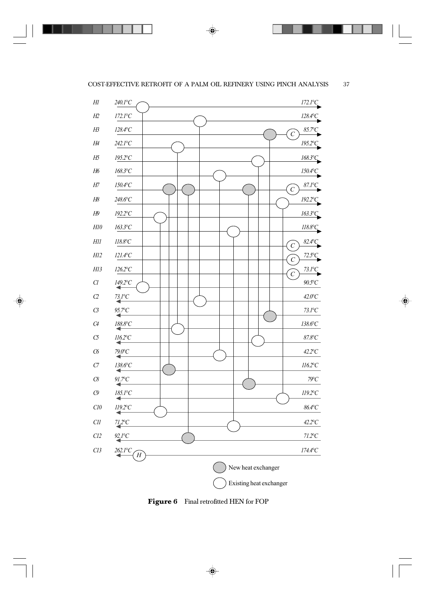

◈

COST-EFFECTIVE RETROFIT OF A PALM OIL REFINERY USING PINCH ANALYSIS 37

Figure 6 Final retrofitted HEN for FOP

 $\bigoplus$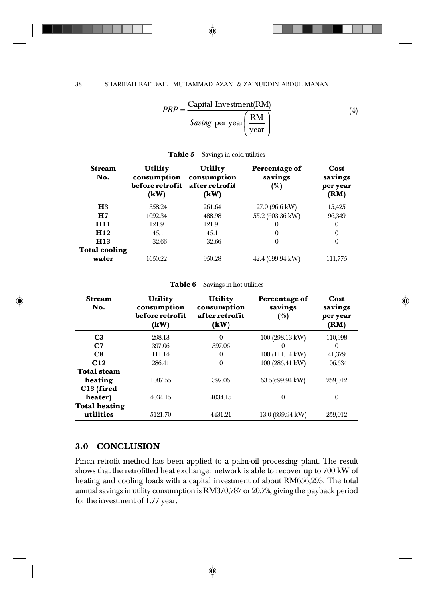$$
PBP = \frac{\text{Capital Investment}(\text{RM})}{\text{Saving per year}} \begin{pmatrix} \text{RM} \\ \text{year} \end{pmatrix}
$$
 (4)

| <b>Stream</b><br>No. | <b>Utility</b><br>consumption<br>before retrofit<br>(kW) | <b>Utility</b><br>consumption<br>after retrofit<br>(kW) | Percentage of<br>savings<br>(%) | Cost<br>savings<br>per year<br>(RM) |
|----------------------|----------------------------------------------------------|---------------------------------------------------------|---------------------------------|-------------------------------------|
| <b>H3</b>            | 358.24                                                   | 261.64                                                  | 27.0 (96.6 kW)                  | 15,425                              |
| H7                   | 1092.34                                                  | 488.98                                                  | 55.2 (603.36 kW)                | 96,349                              |
| H11                  | 121.9                                                    | 121.9                                                   | $\theta$                        | $\theta$                            |
| H12                  | 45.1                                                     | 45.1                                                    | $\theta$                        | 0                                   |
| <b>H13</b>           | 32.66                                                    | 32.66                                                   | $\theta$                        | $\theta$                            |
| <b>Total cooling</b> |                                                          |                                                         |                                 |                                     |
| water                | 1650.22                                                  | 950.28                                                  | 42.4 (699.94 kW)                | 111.775                             |

**Table 5** Savings in cold utilities

**Table 6** Savings in hot utilities

| <b>Stream</b><br>No. | <b>Utility</b><br>consumption<br>before retrofit<br>(kW) | <b>Utility</b><br>consumption<br>after retrofit<br>(kW) | Percentage of<br>savings<br>(%) | Cost<br>savings<br>per year<br>$(\mathbf{RM})$ |
|----------------------|----------------------------------------------------------|---------------------------------------------------------|---------------------------------|------------------------------------------------|
| C <sub>3</sub>       | 298.13                                                   | $\Omega$                                                | 100 (298.13 kW)                 | 110,998                                        |
| C <sub>7</sub>       | 397.06                                                   | 397.06                                                  | $_{0}$                          | $\theta$                                       |
| C8                   | 111.14                                                   | $\Omega$                                                | $100(111.14 \text{ kW})$        | 41,379                                         |
| C12                  | 286.41                                                   | $\theta$                                                | 100 (286.41 kW)                 | 106,634                                        |
| <b>Total steam</b>   |                                                          |                                                         |                                 |                                                |
| heating              | 1087.55                                                  | 397.06                                                  | 63.5(699.94 kW)                 | 259,012                                        |
| C13 (fired           |                                                          |                                                         |                                 |                                                |
| heater)              | 4034.15                                                  | 4034.15                                                 | 0                               | $\Omega$                                       |
| <b>Total heating</b> |                                                          |                                                         |                                 |                                                |
| utilities            | 5121.70                                                  | 4431.21                                                 | 13.0 (699.94 kW)                | 259,012                                        |

## **3.0 CONCLUSION**

Pinch retrofit method has been applied to a palm-oil processing plant. The result shows that the retrofitted heat exchanger network is able to recover up to 700 kW of heating and cooling loads with a capital investment of about RM656,293. The total annual savings in utility consumption is RM370,787 or 20.7%, giving the payback period for the investment of 1.77 year.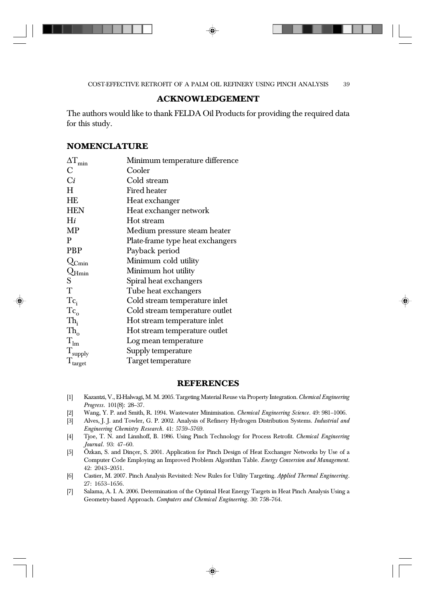COST-EFFECTIVE RETROFIT OF A PALM OIL REFINERY USING PINCH ANALYSIS 39

# **ACKNOWLEDGEMENT**

The authors would like to thank FELDA Oil Products for providing the required data for this study.

## **NOMENCLATURE**

| $\Delta T_{min}$    | Minimum temperature difference   |
|---------------------|----------------------------------|
| C                   | Cooler                           |
| $C_i$               | Cold stream                      |
| H                   | <b>Fired heater</b>              |
| HE                  | Heat exchanger                   |
| <b>HEN</b>          | Heat exchanger network           |
| Hi                  | Hot stream                       |
| MP                  | Medium pressure steam heater     |
| P                   | Plate-frame type heat exchangers |
| <b>PBP</b>          | Payback period                   |
| $Q_{\text{Cmin}}$   | Minimum cold utility             |
| $Q_{Hmin}$          | Minimum hot utility              |
| $S_{\text{}}$       | Spiral heat exchangers           |
| T                   | Tube heat exchangers             |
| $T_{c_i}$           | Cold stream temperature inlet    |
| $Tc_{o}$            | Cold stream temperature outlet   |
| $Th_i$              | Hot stream temperature inlet     |
| $\rm Th_{o}$        | Hot stream temperature outlet    |
| $T_{\rm lm}$        | Log mean temperature             |
| $T_{\text{supply}}$ | Supply temperature               |
| $T_{\text{target}}$ | Target temperature               |

#### **REFERENCES**

- [1] Kazantzi, V., El-Halwagi, M. M. 2005. Targeting Material Reuse via Property Integration. *Chemical Engineering Progress*. 101(8): 28–37.
- [2] Wang, Y. P. and Smith, R. 1994. Wastewater Minimisation. *Chemical Engineering Science*. 49: 981–1006.
- [3] Alves, J. J. and Towler, G. P. 2002. Analysis of Refinery Hydrogen Distribution Systems. *Industrial and Engineering Chemistry Research*. 41: 5759–5769.
- [4] Tjoe, T. N. and Linnhoff, B. 1986. Using Pinch Technology for Process Retrofit. *Chemical Engineering Journal*. 93: 47–60.
- [5] Özkan, S. and Dinçer, S. 2001. Application for Pinch Design of Heat Exchanger Networks by Use of a Computer Code Employing an Improved Problem Algorithm Table. *Energy Conversion and Management*. 42: 2043–2051.
- [6] Castier, M. 2007. Pinch Analysis Revisited: New Rules for Utility Targeting. *Applied Thermal Engineering*. 27: 1653–1656.
- [7] Salama, A. I. A. 2006. Determination of the Optimal Heat Energy Targets in Heat Pinch Analysis Using a Geometry-based Approach. *Computers and Chemical Engineering*. 30: 758–764.